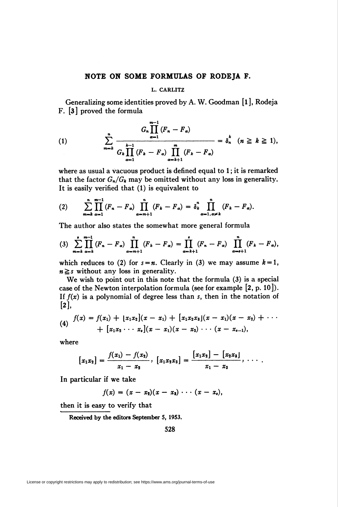## NOTE ON SOME FORMULAS OF RODEJA F.

## L. CARLITZ

Generalizing some identities proved by A. W. Goodman [1], Rodeja  $\mathbf{F.}$  [3] proved the formula

(1) 
$$
\sum_{m=k}^{n} \frac{G_{n} \prod_{\alpha=1}^{m-1} (F_{n} - F_{\alpha})}{G_{k} \prod_{\alpha=1}^{k-1} (F_{k} - F_{\alpha}) \prod_{\alpha=k+1}^{m} (F_{k} - F_{\alpha})} = \delta_{n}^{k} \quad (n \geq k \geq 1),
$$

where as usual a vacuous product is defined equal to 1; it is remarked that the factor  $G_n/G_k$  may be omitted without any loss in generality. It is easily verified that (1) is equivalent to

(2) 
$$
\sum_{m=k}^{n} \prod_{\alpha=1}^{m-1} (F_n - F_\alpha) \prod_{\alpha=m+1}^{n} (F_k - F_\alpha) = \delta_k^n \prod_{\alpha=1, \alpha \neq k}^{n} (F_k - F_\alpha).
$$

The author also states the somewhat more general formula

$$
(3) \sum_{m=k}^{s} \prod_{\alpha=k}^{m-1} (F_n - F_\alpha) \prod_{\alpha=m+1}^{n} (F_k - F_\alpha) = \prod_{\alpha=k+1}^{s} (F_n - F_\alpha) \prod_{\alpha=s+1}^{n} (F_k - F_\alpha),
$$

which reduces to (2) for  $s = n$ . Clearly in (3) we may assume  $k = 1$ ,  $n \geq s$  without any loss in generality.

We wish to point out in this note that the formula (3) is a special case of the Newton interpolation formula (see for example  $[2, p. 10]$ ). If  $f(x)$  is a polynomial of degree less than s, then in the notation of  $[2]$ ,

(4) 
$$
f(x) = f(x_1) + [x_1x_2](x - x_1) + [x_1x_2x_3](x - x_1)(x - x_2) + \cdots + [x_1x_2 \cdots x_s](x - x_1)(x - x_2) \cdots (x - x_{s-1}),
$$

where

$$
[x_1x_2]=\frac{f(x_1)-f(x_2)}{x_1-x_2}, [x_1x_2x_3]=\frac{[x_1x_2]-[x_2x_3]}{x_1-x_3}, \ldots
$$

In particular if we take

$$
f(x) = (x - x_2)(x - x_3) \cdot \cdot \cdot (x - x_s),
$$

then it is easy to verify that

Received by the editors September 5, 1953.

528